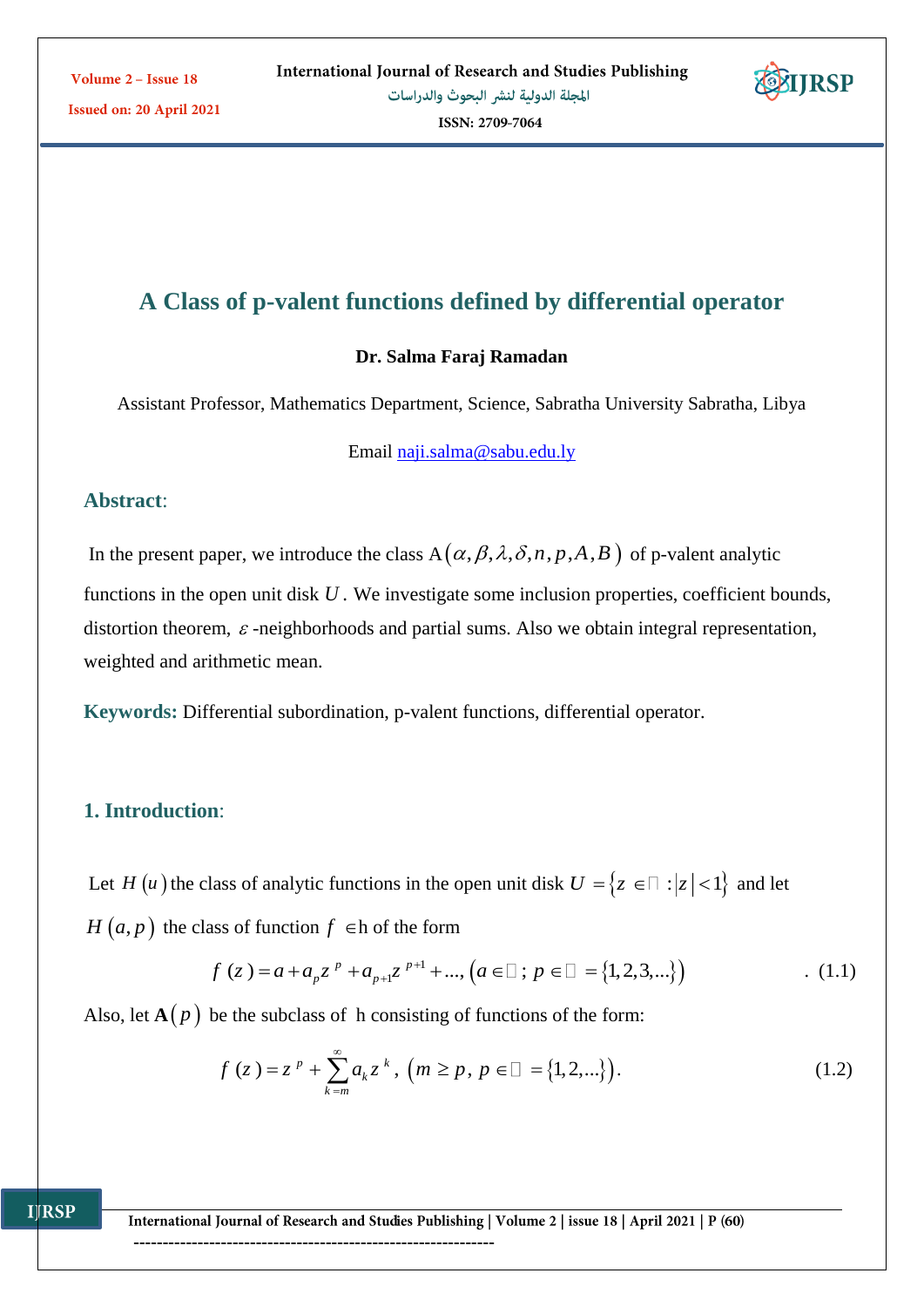

ISSN: 2709-7064

# **A Class of p-valent functions defined by differential operator**

### **Dr. Salma Faraj Ramadan**

Assistant Professor, Mathematics Department, Science, Sabratha University Sabratha, Libya

Email [naji.salma@sabu.edu.ly](mailto:naji.salma@sabu.edu.ly)

## **Abstract**:

In the present paper, we introduce the class  $A(\alpha, \beta, \lambda, \delta, n, p, A, B)$  of p-valent analytic functions in the open unit disk U. We investigate some inclusion properties, coefficient bounds, distortion theorem,  $\varepsilon$ -neighborhoods and partial sums. Also we obtain integral representation, weighted and arithmetic mean.

**Keywords:** Differential subordination, p-valent functions, differential operator.

# **1. Introduction**:

**IJRSP** 

Let *H* (*u*) the class of analytic functions in the open unit disk  $U = \{z \in \Box : |z| < 1\}$  and let

 $H(a, p)$  the class of function  $f \in h$  of the form

$$
f(z) = a + a_p z^p + a_{p+1} z^{p+1} + \dots, (a \in \square; p \in \square = \{1, 2, 3, \dots\})
$$
 (1.1)

Also, let  $A(p)$  be the subclass of h consisting of functions of the form:

$$
f(z) = zp + \sum_{k=m}^{\infty} a_k zk, (m \ge p, p \in \square = \{1, 2, ...\}).
$$
 (1.2)

International Journal of Research and Studies Publishing | Volume 2 | issue 18 | April 2021 | P (60)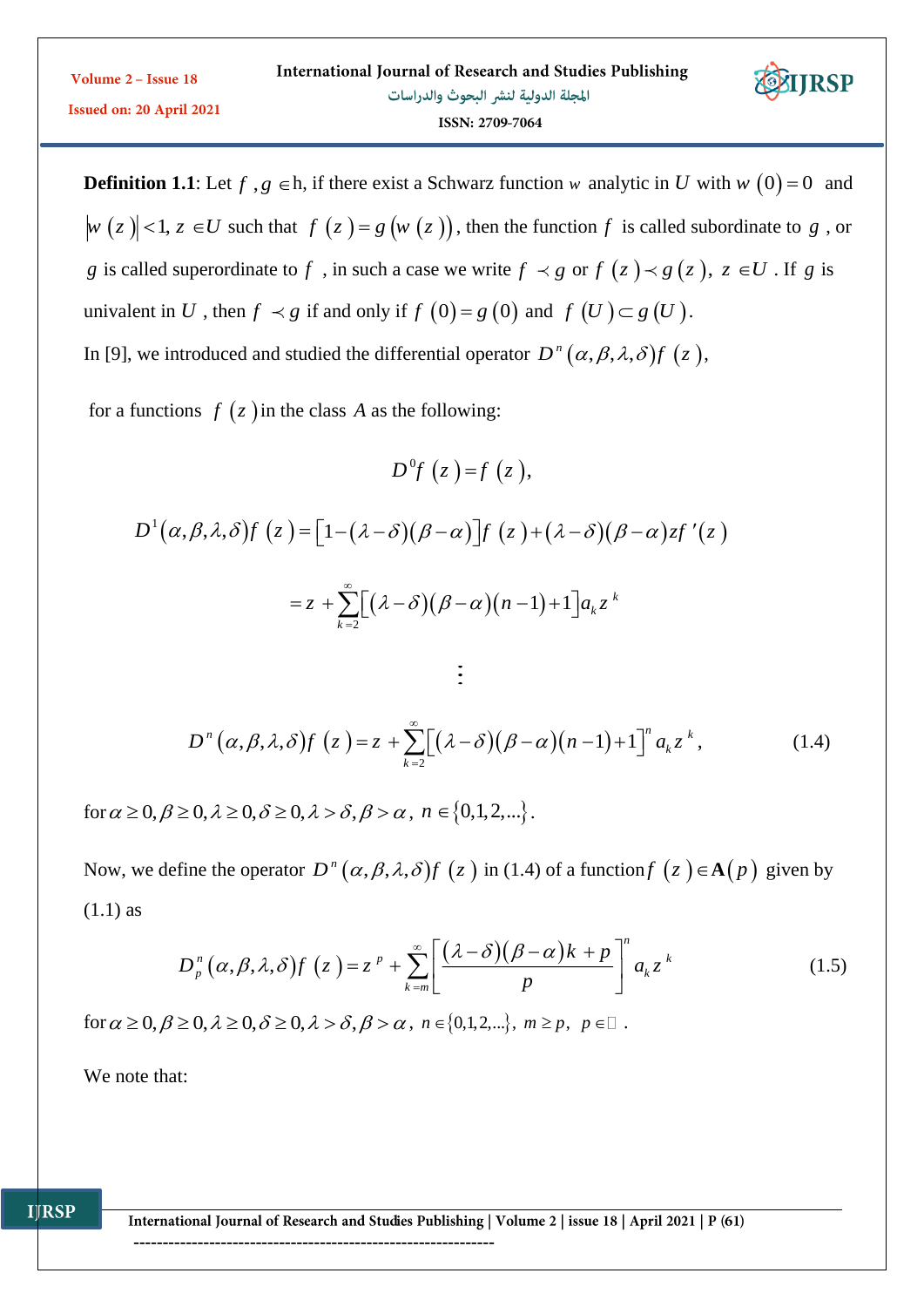| Volume $2 -$ Issue 18           | International Journal of Research and Studies Publishing | <b>STIRSP</b> |
|---------------------------------|----------------------------------------------------------|---------------|
| <b>Issued on: 20 April 2021</b> | المجلة الدولية لنشر البحوث والدراسات                     |               |
|                                 | ISSN: 2709-7064                                          |               |

**Definition 1.1**: Let  $f$ ,  $g \in h$ , if there exist a Schwarz function w analytic in U with w  $(0) = 0$  and  $w(z) < 1, z \in U$  such that  $f(z) = g(w(z))$ , then the function f is called subordinate to g, or *g* is called superordinate to *f*, in such a case we write  $f \prec g$  or  $f(z) \prec g(z)$ ,  $z \in U$ . If *g* is univalent in U , then  $f \prec g$  if and only if  $f(0) = g(0)$  and  $f(U) \subset g(U)$ . In [9], we introduced and studied the differential operator  $D^n(\alpha, \beta, \lambda, \delta) f(z)$ ,

for a functions  $f(z)$  in the class A as the following:

$$
D^{0}f(z) = f(z),
$$
  
\n
$$
D^{1}(\alpha, \beta, \lambda, \delta) f(z) = [1 - (\lambda - \delta)(\beta - \alpha)]f(z) + (\lambda - \delta)(\beta - \alpha)zf'(z)
$$
  
\n
$$
= z + \sum_{k=2}^{\infty} [(\lambda - \delta)(\beta - \alpha)(n-1) + 1]a_k z^k
$$
  
\n
$$
\vdots
$$

$$
D^{n}(\alpha,\beta,\lambda,\delta)f(z) = z + \sum_{k=2}^{\infty} \left[ (\lambda - \delta)(\beta - \alpha)(n-1) + 1 \right]^{n} a_{k} z^{k}, \qquad (1.4)
$$

for  $\alpha \geq 0, \beta \geq 0, \lambda \geq 0, \delta \geq 0, \lambda > \delta, \beta > \alpha$ ,  $n \in \{0,1,2,...\}$ .

Now, we define the operator  $D^n(\alpha, \beta, \lambda, \delta) f(z)$  in (1.4) of a function  $f(z) \in A(p)$  given by (1.1) as

$$
D_p^n(\alpha, \beta, \lambda, \delta) f(z) = z^p + \sum_{k=m}^{\infty} \left[ \frac{(\lambda - \delta)(\beta - \alpha)k + p}{p} \right]^n a_k z^k
$$
\n
$$
\text{for } \alpha \ge 0, \beta \ge 0, \lambda \ge 0, \delta \ge 0, \lambda > \delta, \beta > \alpha, n \in \{0, 1, 2, \ldots\}, m \ge p, p \in \mathbb{Z}.
$$
\n
$$
(1.5)
$$

We note that:

International Journal of Research and Studies Publishing | Volume 2 | issue 18 | April 2021 | P (61)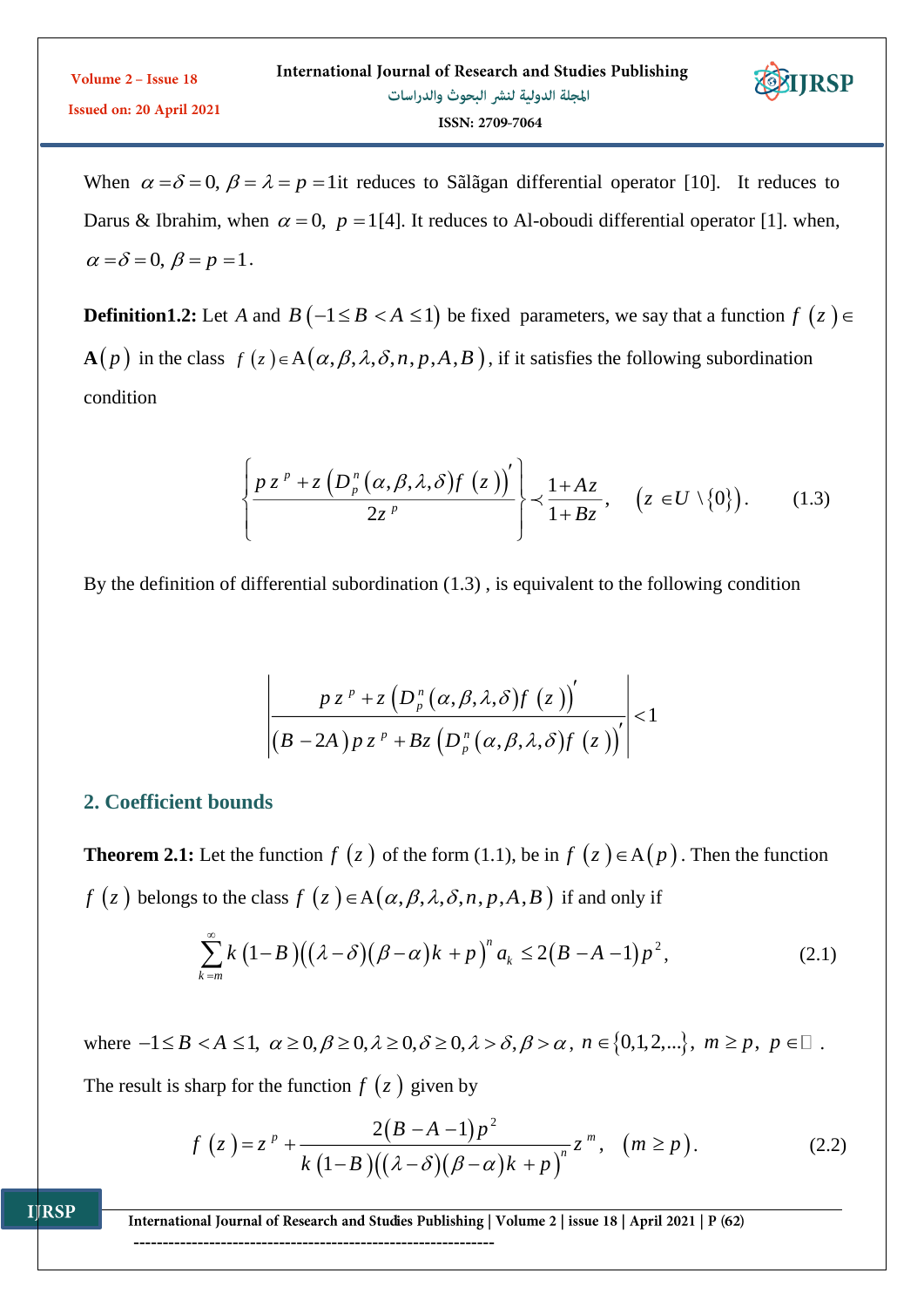When  $\alpha = \delta = 0$ ,  $\beta = \lambda = p = 1$ it reduces to Sãlãgan differential operator [10]. It reduces to Darus & Ibrahim, when  $\alpha = 0$ ,  $p = 1$ [4]. It reduces to Al-oboudi differential operator [1]. when,  $\alpha = \delta = 0, \ \beta = p = 1.$ 

**Definition1.2:** Let A and  $B(-1 \le B < A \le 1)$  be fixed parameters, we say that a function  $f(z) \in$ **A**(*p*) in the class  $f(z) \in A(\alpha, \beta, \lambda, \delta, n, p, A, B)$ , if it satisfies the following subordination condition

$$
\left\{\frac{pz^p+z\left(D_p^n(\alpha,\beta,\lambda,\delta)f(z)\right)'}{2z^p}\right\}\prec\frac{1+Az}{1+Bz},\quad \left(z\in U\setminus\{0\}\right). \tag{1.3}
$$

By the definition of differential subordination (1.3) , is equivalent to the following condition

$$
\left|\frac{p z^{p}+z\left(D_{p}^{n}(\alpha,\beta,\lambda,\delta)f(z)\right)'}{\left(B-2A\right)p z^{p}+Bz\left(D_{p}^{n}(\alpha,\beta,\lambda,\delta)f(z)\right)'}\right|<1
$$

## **2. Coefficient bounds**

**IJRSP** 

**Theorem 2.1:** Let the function  $f(z)$  of the form (1.1), be in  $f(z) \in A(p)$ . Then the function  $f(z)$  belongs to the class  $f(z) \in A(\alpha, \beta, \lambda, \delta, n, p, A, B)$  if and only if

$$
\sum_{k=m}^{\infty} k \left(1-B\right) \left((\lambda-\delta)\left(\beta-\alpha\right)k+p\right)^n a_k \le 2\left(B-A-1\right)p^2,\tag{2.1}
$$

where  $-1 \leq B < A \leq 1$ ,  $\alpha \geq 0$ ,  $\beta \geq 0$ ,  $\lambda \geq 0$ ,  $\delta \geq 0$ ,  $\lambda > \delta$ ,  $\beta > \alpha$ ,  $n \in \{0,1,2,...\}$ ,  $m \geq p$ ,  $p \in \mathbb{Z}$ .

The result is sharp for the function  $f(z)$  given by

$$
f(z) = zp + \frac{2(B-A-1)p2}{k(1-B)((\lambda-\delta)(\beta-\alpha)k+p)n}zm, (m \ge p).
$$
 (2.2)

International Journal of Research and Studies Publishing | Volume 2 | issue 18 | April 2021 | P (62)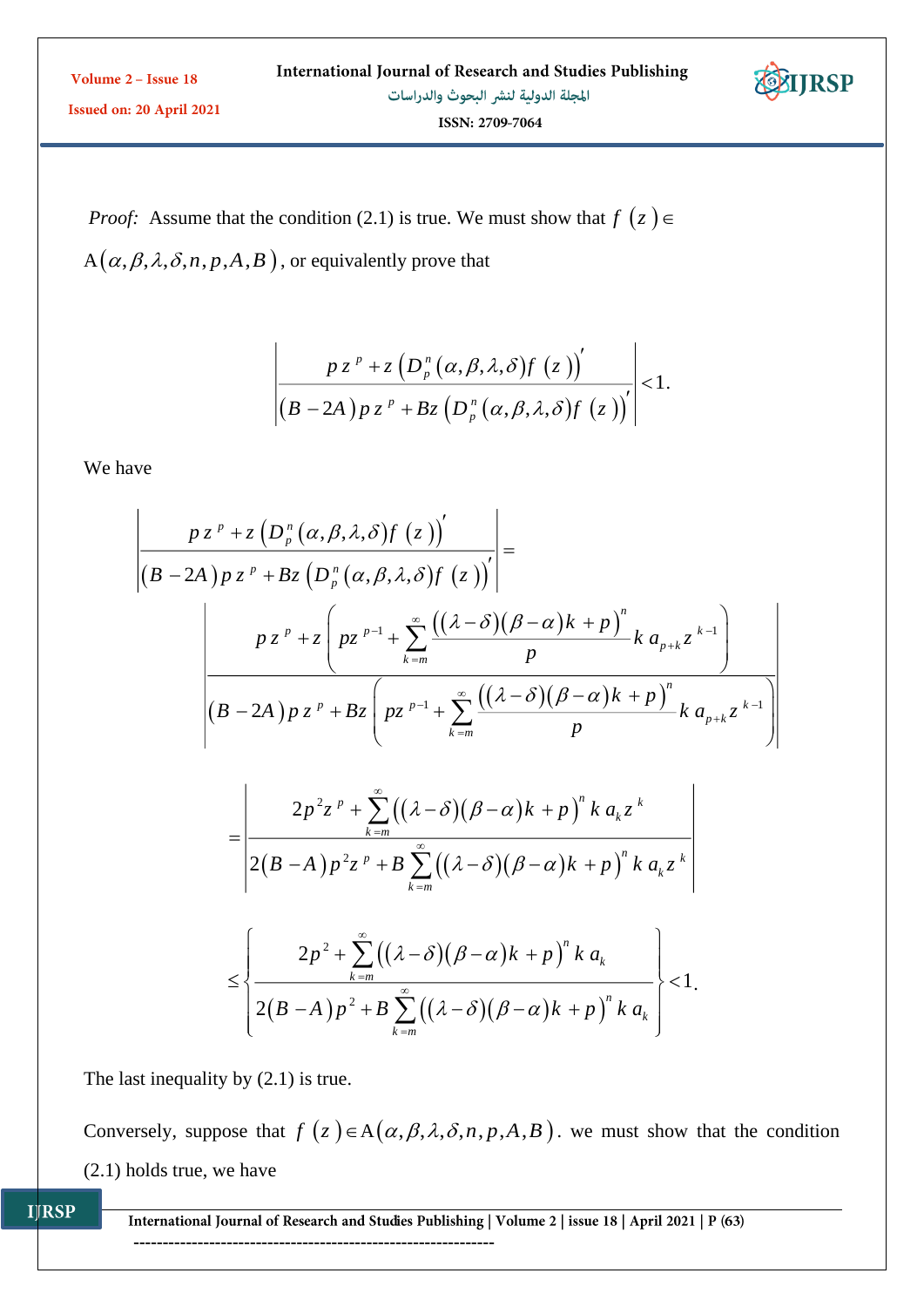| Volume 2 – Issue 18             | International Journal of Research and Studies Publishing | <b>STIRSP</b> |
|---------------------------------|----------------------------------------------------------|---------------|
| <b>Issued on: 20 April 2021</b> | المجلة الدولية لنشر البحوث والدراسات                     |               |
|                                 | ISSN: 2709-7064                                          |               |

*Proof:* Assume that the condition (2.1) is true. We must show that  $f(z) \in$  $A(\alpha, \beta, \lambda, \delta, n, p, A, B)$ , or equivalently prove that

$$
\left|\frac{p z^{p} + z\left(D_{p}^{n}(\alpha,\beta,\lambda,\delta)f(z)\right)'}{\left(B-2A\right)p z^{p} + Bz\left(D_{p}^{n}(\alpha,\beta,\lambda,\delta)f(z)\right)'}\right| < 1.
$$

We have

$$
\frac{p z^{p} + z \left(D_{p}^{n}(\alpha, \beta, \lambda, \delta) f(z)\right)^{'} }{\left(B - 2A\right) p z^{p} + Bz \left(D_{p}^{n}(\alpha, \beta, \lambda, \delta) f(z)\right)^{'}\right|} =
$$
\n
$$
\frac{p z^{p} + z \left(p z^{p-1} + \sum_{k=m}^{\infty} \frac{((\lambda - \delta)(\beta - \alpha)k + p)^{n}}{p} k a_{p+k} z^{k-1}\right)}{(B - 2A) p z^{p} + Bz \left(p z^{p-1} + \sum_{k=m}^{\infty} \frac{((\lambda - \delta)(\beta - \alpha)k + p)^{n}}{p} k a_{p+k} z^{k-1}\right)}
$$

$$
=\frac{2p^{2}z^{p}+\sum_{k=m}^{\infty}((\lambda-\delta)(\beta-\alpha)k+p)^{n}k a_{k}z^{k}}{2(B-A)p^{2}z^{p}+B\sum_{k=m}^{\infty}((\lambda-\delta)(\beta-\alpha)k+p)^{n}k a_{k}z^{k}}
$$

$$
\leq \left\{\frac{2p^2+\sum_{k=m}^{\infty}\left((\lambda-\delta)(\beta-\alpha)k+p\right)^n k\ a_k}{2(B-A)\,p^2+B\sum_{k=m}^{\infty}\left((\lambda-\delta)(\beta-\alpha)k+p\right)^n k\ a_k}\right\}<1.
$$

The last inequality by  $(2.1)$  is true.

Conversely, suppose that  $f(z) \in A(\alpha, \beta, \lambda, \delta, n, p, A, B)$ . we must show that the condition (2.1) holds true, we have

**IJRSP** 

International Journal of Research and Studies Publishing | Volume 2 | issue 18 | April 2021 | P (63)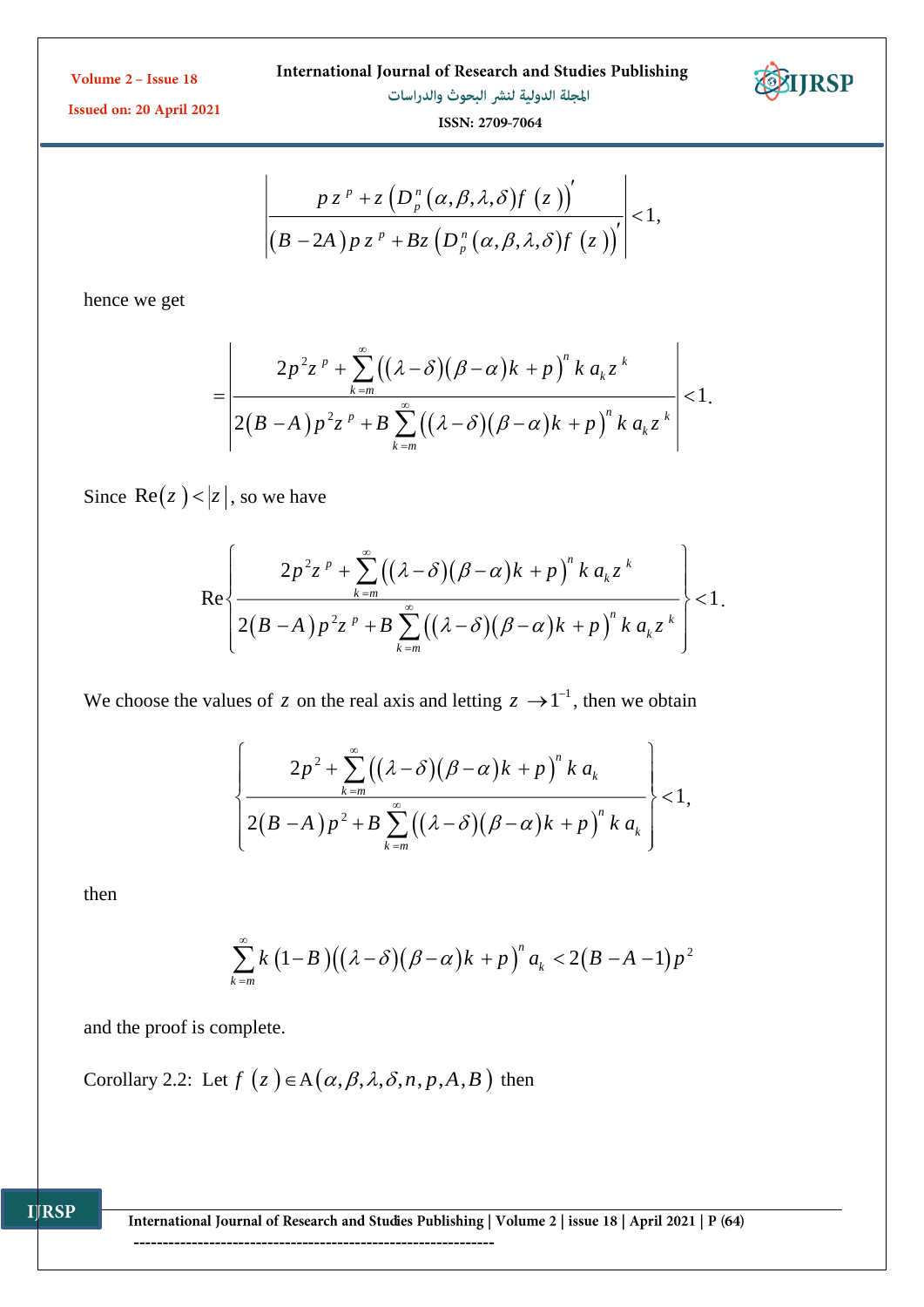International Journal of Research and Studies Publishing



المجلة الدولية لنشر البحوث والدراسات

 $\overline{1}$ 



Issued on: 20 April 2021

ISSN: 2709-7064

$$
\left|\frac{p z^{p}+z\left(D_{p}^{n}(\alpha,\beta,\lambda,\delta)f(z)\right)'}{\left(B-2A\right)p z^{p}+Bz\left(D_{p}^{n}(\alpha,\beta,\lambda,\delta)f(z)\right)'}\right|<1,
$$

hence we get

$$
=\left|\frac{2p^2z^p+\sum_{k=m}^{\infty}\left((\lambda-\delta)(\beta-\alpha)k+p\right)^nk a_kz^k}{2(B-A)p^2z^p+B\sum_{k=m}^{\infty}\left((\lambda-\delta)(\beta-\alpha)k+p\right)^nk a_kz^k}\right|<1.
$$

Since  $Re(z) < |z|$ , so we have

$$
\operatorname{Re}\left\{\frac{2p^2z^p+\sum_{k=m}^\infty\big((\lambda-\delta)(\beta-\alpha)k+p\big)^n k\,a_kz^k}{2(B-A)p^2z^p+B\sum_{k=m}^\infty\big((\lambda-\delta)(\beta-\alpha)k+p\big)^n k\,a_kz^k}\right\}<1.
$$

We choose the values of z on the real axis and letting  $z \rightarrow 1^{-1}$ , then we obtain

$$
\left\{\frac{2p^2+\sum_{k=m}^{\infty}\big((\lambda-\delta)(\beta-\alpha)k+p\big)^n k a_k}{2(B-A)p^2+B\sum_{k=m}^{\infty}\big((\lambda-\delta)(\beta-\alpha)k+p\big)^n k a_k}\right\}<1,
$$

then

**IJRSP** 

$$
\sum_{k=m}^{\infty} k (1-B) ((\lambda - \delta) (\beta - \alpha)k + p)^{n} a_{k} < 2 (B-A-1) p^{2}
$$

and the proof is complete.

Corollary 2.2: Let  $f(z) \in A(\alpha, \beta, \lambda, \delta, n, p, A, B)$  then

International Journal of Research and Studies Publishing | Volume 2 | issue 18 | April 2021 | P (64)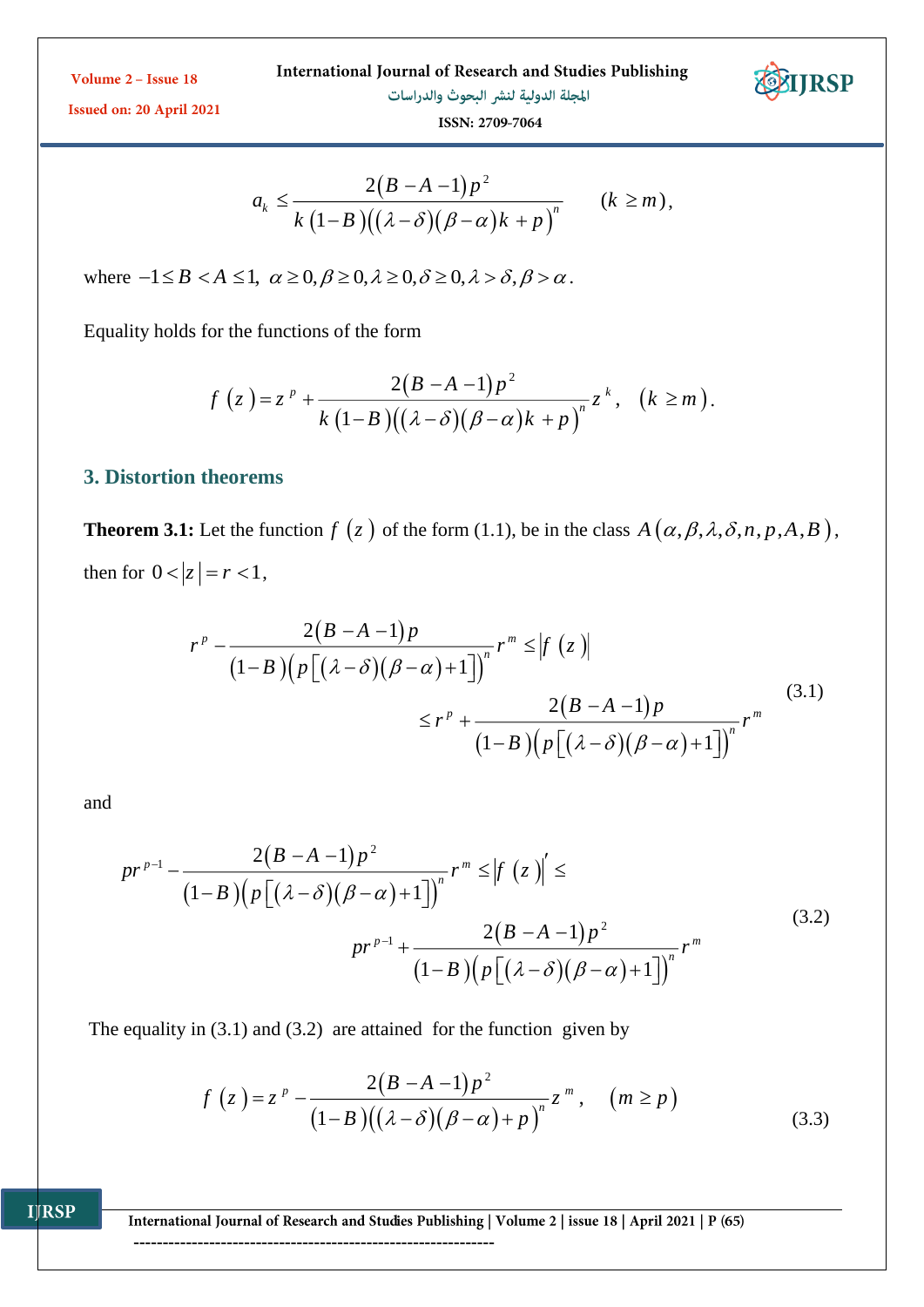International Journal of Research and Studies Publishing



المجلة الدولية لنشر البحوث والدراسات



Issued on: 20 April 2021

ISSN: 2709-7064

$$
a_k \leq \frac{2(B-A-1)p^2}{k(1-B)((\lambda-\delta)(\beta-\alpha)k+p)^n} \qquad (k \geq m),
$$

where  $-1 \leq B < A \leq 1$ ,  $\alpha \geq 0$ ,  $\beta \geq 0$ ,  $\lambda \geq 0$ ,  $\lambda > \delta$ ,  $\beta > \alpha$ .

Equality holds for the functions of the form

$$
f(z) = zp + \frac{2(B-A-1)p2}{k(1-B)((\lambda-\delta)(\beta-\alpha)k+p)n}zk, (k \ge m).
$$

### **3. Distortion theorems**

**Theorem 3.1:** Let the function  $f(z)$  of the form (1.1), be in the class  $A(\alpha, \beta, \lambda, \delta, n, p, A, B)$ , then for  $0 < |z| = r < 1$ ,

$$
r^{p} - \frac{2(B-A-1)p}{(1-B)\left(p\left[(\lambda-\delta)(\beta-\alpha)+1\right]\right)^{n}}r^{m} \leq |f(z)|
$$
  

$$
\leq r^{p} + \frac{2(B-A-1)p}{(1-B)\left(p\left[(\lambda-\delta)(\beta-\alpha)+1\right]\right)^{n}}r^{m}
$$
(3.1)

and

**IJRSP** 

$$
pr^{p-1} - \frac{2(B-A-1)p^2}{(1-B)\left(p\left[(\lambda-\delta)(\beta-\alpha)+1\right]\right)^n}r^m \leq \left|f\left(z\right)\right| \leq
$$
  

$$
pr^{p-1} + \frac{2(B-A-1)p^2}{(1-B)\left(p\left[(\lambda-\delta)(\beta-\alpha)+1\right]\right)^n}r^m
$$
  
(3.2)

The equality in  $(3.1)$  and  $(3.2)$  are attained for the function given by

$$
f(z) = zp - \frac{2(B-A-1)p2}{(1-B)((\lambda-\delta)(\beta-\alpha)+p)n}zm, (m \ge p)
$$
\n(3.3)

International Journal of Research and Studies Publishing | Volume 2 | issue 18 | April 2021 | P (65)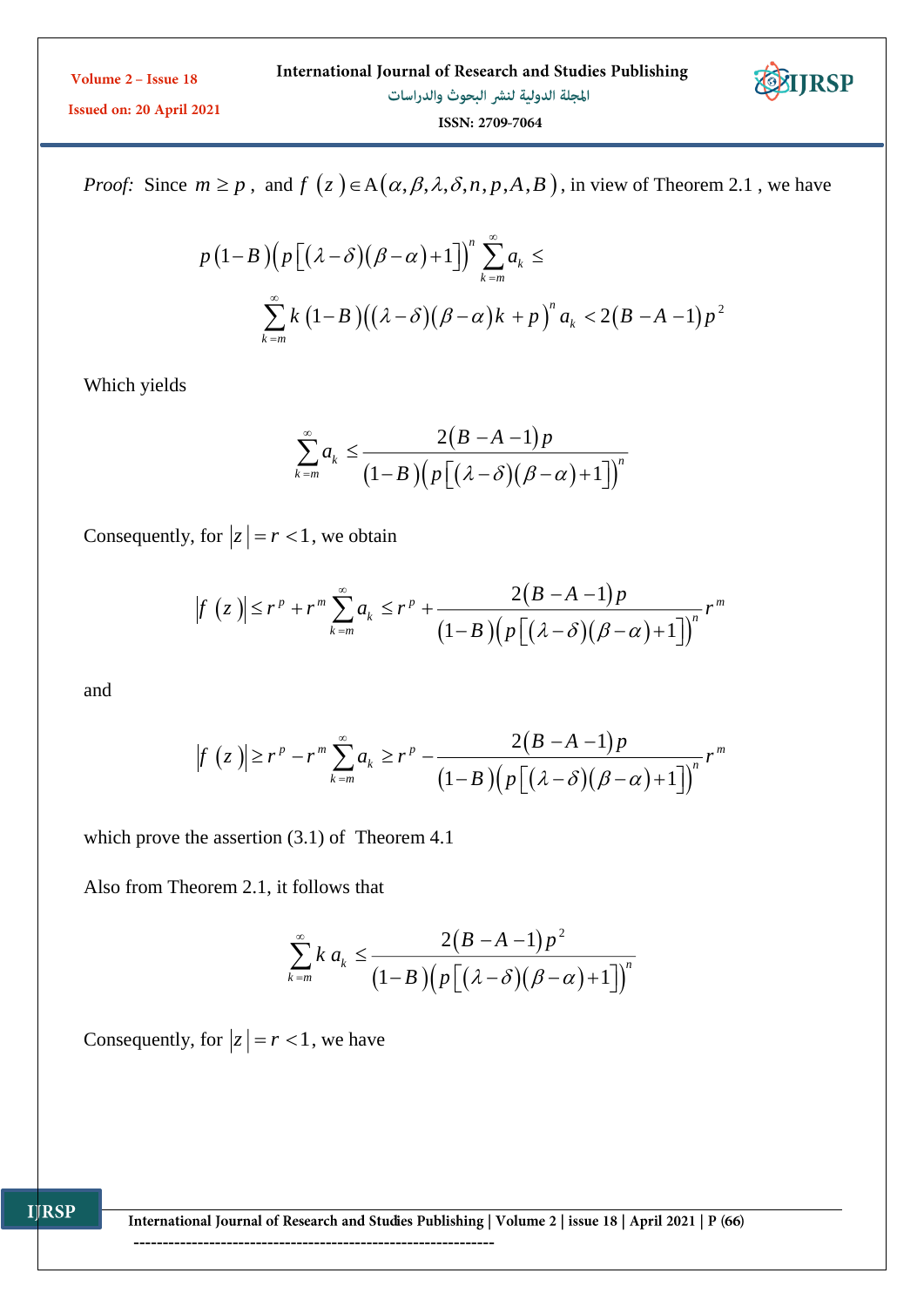

Issued on: 20 April 2021

ISSN: 2709-7064

*Proof:* Since  $m \ge p$ , and  $f(z) \in A(\alpha, \beta, \lambda, \delta, n, p, A, B)$ , in view of Theorem 2.1, we have

$$
p(1-B)\left(p\left[\left(\lambda-\delta\right)\left(\beta-\alpha\right)+1\right]\right)^n\sum_{k=m}^{\infty}a_k \le
$$
  

$$
\sum_{k=m}^{\infty}k\left(1-B\right)\left((\lambda-\delta)\left(\beta-\alpha\right)k+p\right)^n a_k < 2\left(B-A-1\right)p^2
$$

Which yields

$$
\sum_{k=m}^{\infty} a_k \le \frac{2(B-A-1)p}{(1-B)\left(p\left[(\lambda-\delta)(\beta-\alpha)+1\right]\right)^n}
$$

Consequently, for  $|z| = r < 1$ , we obtain

$$
|f(z)| \le r^p + r^m \sum_{k=m}^{\infty} a_k \le r^p + \frac{2(B-A-1)p}{(1-B)(p[(\lambda-\delta)(\beta-\alpha)+1])^n} r^m
$$

and

$$
|f(z)| \ge r^p - r^m \sum_{k=m}^{\infty} a_k \ge r^p - \frac{2(B-A-1)p}{(1-B)(p[(\lambda-\delta)(\beta-\alpha)+1])}r^m
$$

which prove the assertion (3.1) of Theorem 4.1

Also from Theorem 2.1, it follows that

$$
\sum_{k=m}^{\infty} k a_k \leq \frac{2(B-A-1)p^2}{(1-B)\Big(p\Big[\big(\lambda-\delta\big)\big(\beta-\alpha\big)+1\Big]\Big)^n}
$$

Consequently, for  $|z| = r < 1$ , we have

International Journal of Research and Studies Publishing | Volume 2 | issue 18 | April 2021 | P (66)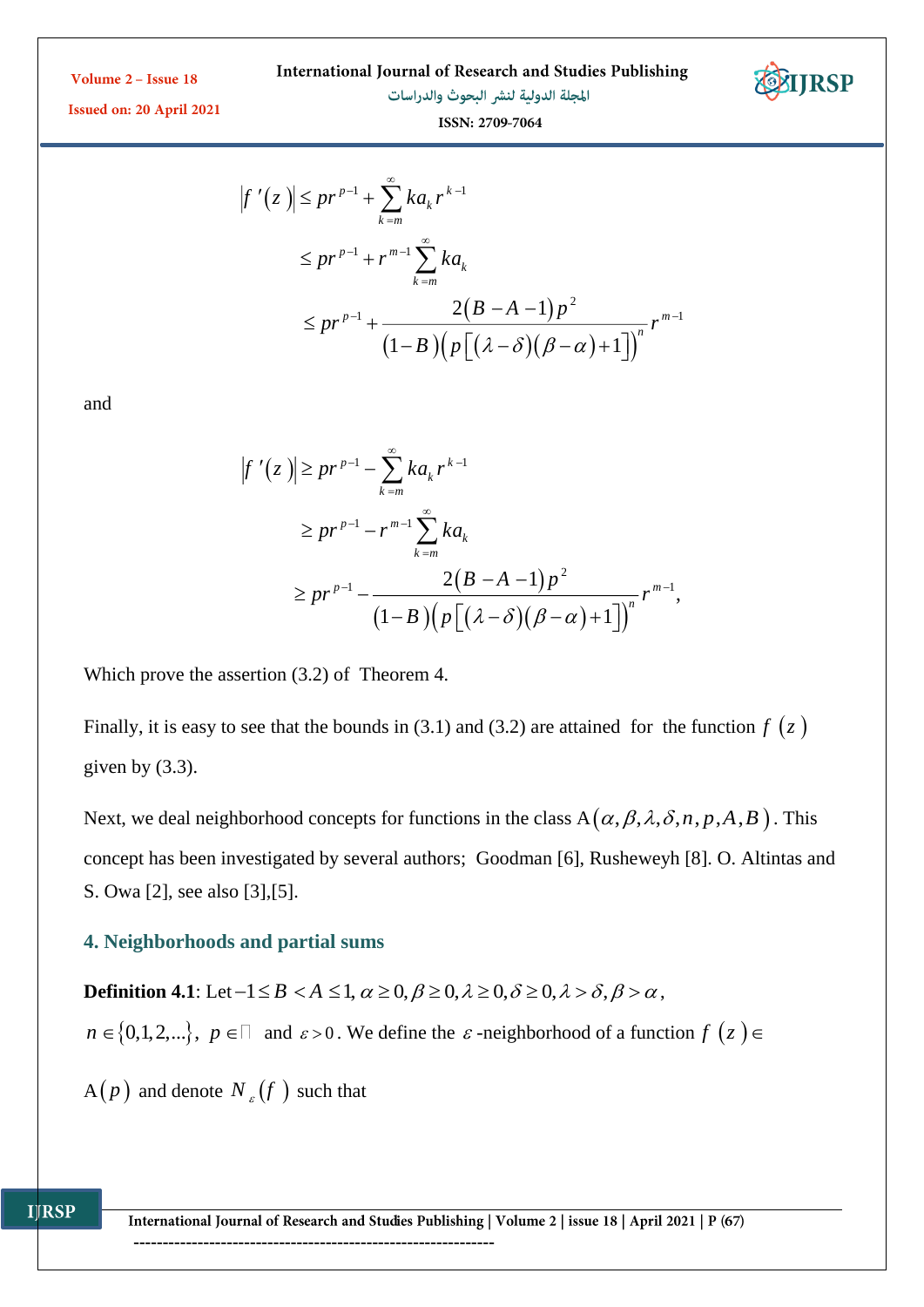International Journal of Research and Studies Publishing



Issued on: 20 April 2021

المجلة الدولية لنشر البحوث والدراسات

$$
ISSN: 2709-7064
$$

$$
|f'(z)| \le pr^{p-1} + \sum_{k=m}^{\infty} ka_k r^{k-1}
$$
  
\n
$$
\le pr^{p-1} + r^{m-1} \sum_{k=m}^{\infty} ka_k
$$
  
\n
$$
\le pr^{p-1} + \frac{2(B-A-1)p^2}{(1-B)(p[(\lambda-\delta)(\beta-\alpha)+1])}r^{m-1}
$$

and

$$
f'(z)| \ge pr^{p-1} - \sum_{k=m}^{\infty} ka_k r^{k-1}
$$
  
\n
$$
\ge pr^{p-1} - r^{m-1} \sum_{k=m}^{\infty} ka_k
$$
  
\n
$$
\ge pr^{p-1} - \frac{2(B-A-1)p^2}{(1-B)(p[(\lambda-\delta)(\beta-\alpha)+1])^n} r^{m-1},
$$

Which prove the assertion (3.2) of Theorem 4.

Finally, it is easy to see that the bounds in (3.1) and (3.2) are attained for the function  $f(z)$ given by  $(3.3)$ .

Next, we deal neighborhood concepts for functions in the class  $A(\alpha, \beta, \lambda, \delta, n, p, A, B)$ . This concept has been investigated by several authors; Goodman [6], Rusheweyh [8]. O. Altintas and S. Owa [2], see also [3],[5].

### **4. Neighborhoods and partial sums**

**Definition 4.1**: Let  $-1 \leq B < A \leq 1$ ,  $\alpha \geq 0$ ,  $\beta \geq 0$ ,  $\lambda \geq 0$ ,  $\lambda > \delta$ ,  $\beta > \alpha$ ,  $n \in \{0,1,2,...\}, p \in \square$  and  $\varepsilon > 0$ . We define the  $\varepsilon$ -neighborhood of a function  $f(z) \in \mathbb{R}$ 

 $A(p)$  and denote  $N_{\varepsilon}(f)$  such that

International Journal of Research and Studies Publishing | Volume 2 | issue 18 | April 2021 | P (67) --------------------------------------------------------------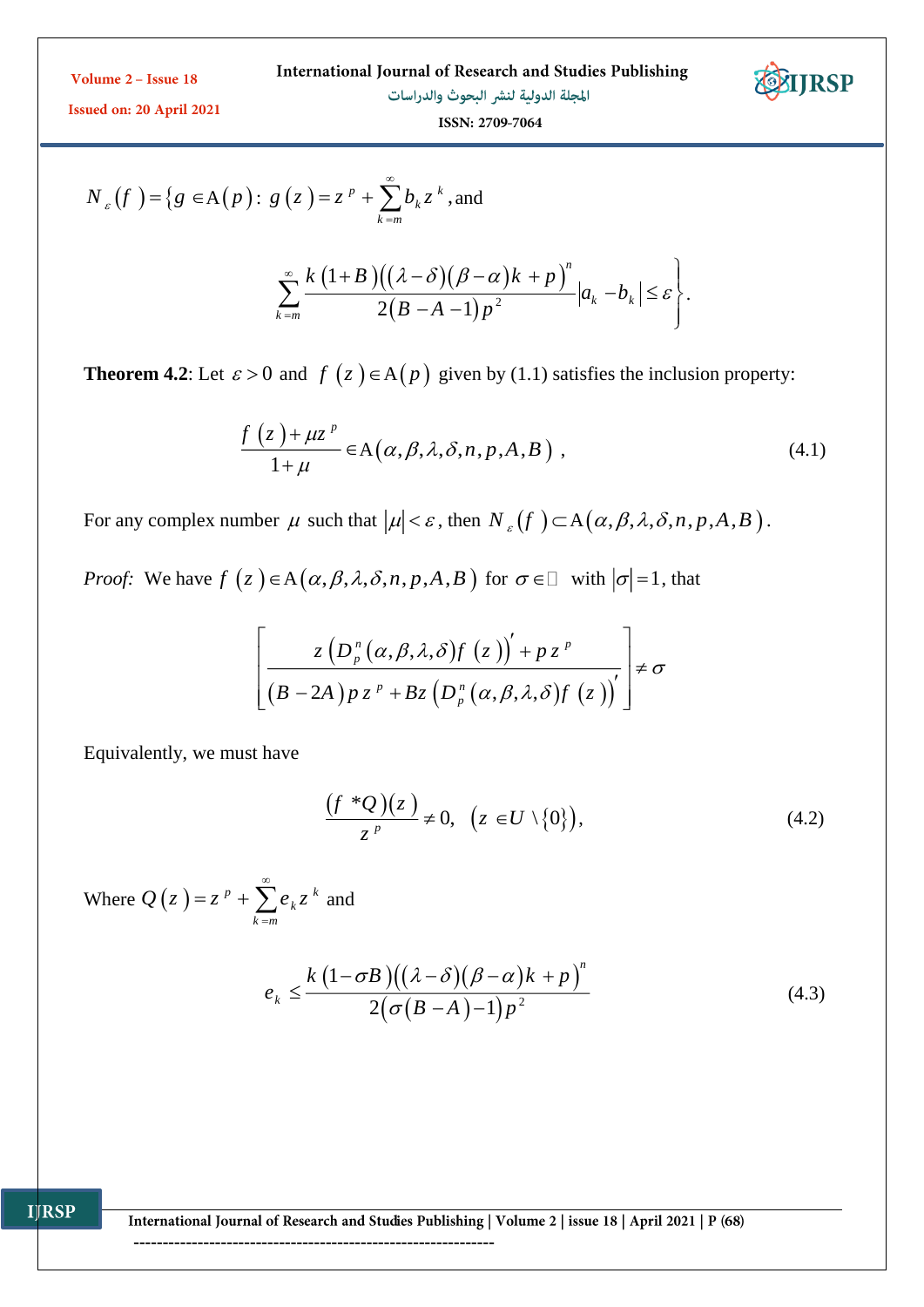

Issued on: 20 April 2021

المجلة الدولية لنشر البحوث والدراسات ISSN: 2709-7064

$$
N_{\varepsilon}\left(f\right) = \left\{g \in A\left(p\right): g\left(z\right) = z^{p} + \sum_{k=m}^{\infty} b_{k} z^{k}, \text{and} \right\}
$$

$$
\sum_{k=m}^{\infty}\frac{k(1+B)\big((\lambda-\delta)\big(\beta-\alpha\big)k+p\big)^n}{2\big(B-A-1\big)p^2}\big|a_k-b_k\big|\leq \varepsilon\Bigg\}.
$$

**Theorem 4.2**: Let  $\varepsilon > 0$  and  $f(z) \in A(p)$  given by (1.1) satisfies the inclusion property:

$$
\frac{f(z) + \mu z^{p}}{1 + \mu} \in A(\alpha, \beta, \lambda, \delta, n, p, A, B),
$$
\n(4.1)

For any complex number  $\mu$  such that  $|\mu| < \varepsilon$ , then  $N_{\varepsilon}(f) \subset A(\alpha, \beta, \lambda, \delta, n, p, A, B)$ .

*Proof:* We have  $f(z) \in A(\alpha, \beta, \lambda, \delta, n, p, A, B)$  for  $\sigma \in \mathbb{Z}$  with  $|\sigma|=1$ , that

$$
\[ \frac{z\left(D_p^{n}\left(\alpha,\beta,\lambda,\delta\right)f\left(z\right)\right)' + pz^{p}}{\left(B-2A\right)p z^{p} + Bz\left(D_p^{n}\left(\alpha,\beta,\lambda,\delta\right)f\left(z\right)\right)'} \] \neq \sigma
$$

Equivalently, we must have

$$
\frac{(f^*\mathcal{Q})(z)}{z^p} \neq 0, \ \ (z \in U \setminus \{0\}), \tag{4.2}
$$

Where  $Q(z) = z^p + \sum e_k z^k$ *k m*  $Q(z) = z^p + \sum e_k z^q$  $^{\circ}$  $= z^p + \sum_{k=m} e_k z^k$  and

**IJRSP** 

$$
e_k \leq \frac{k(1-\sigma B)((\lambda-\delta)(\beta-\alpha)k+p)^n}{2(\sigma(B-A)-1)p^2}
$$
\n(4.3)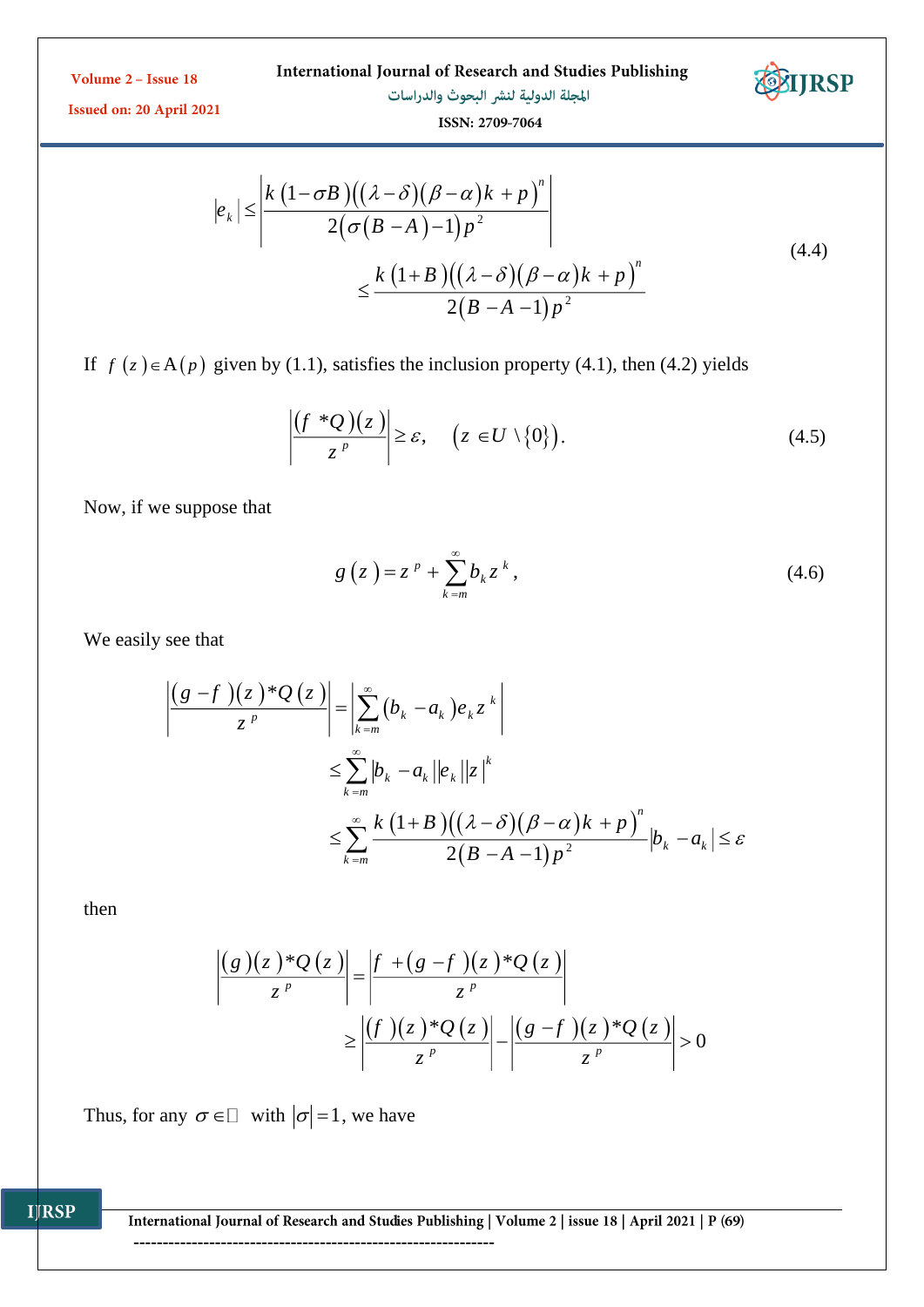International Journal of Research and Studies Publishing المجلة الدولية لنشر البحوث والدراسات



Issued on: 20 April 2021

ISSN: 2709-7064

$$
|e_k| \le \frac{k(1-\sigma B)((\lambda-\delta)(\beta-\alpha)k+p)^n}{2(\sigma(B-A)-1)p^2}
$$
  

$$
\le \frac{k(1+B)((\lambda-\delta)(\beta-\alpha)k+p)^n}{2(B-A-1)p^2}
$$
 (4.4)

If  $f(z) \in A(p)$  given by (1.1), satisfies the inclusion property (4.1), then (4.2) yields

$$
\left| \frac{(f * Q)(z)}{z^p} \right| \geq \varepsilon, \quad \left( z \in U \setminus \{0\} \right). \tag{4.5}
$$

Now, if we suppose that

$$
g\left(z\right) = z^p + \sum_{k=m}^{\infty} b_k z^k, \tag{4.6}
$$

We easily see that

$$
\left| \frac{(g-f)(z)^*\mathcal{Q}(z)}{z^p} \right| = \left| \sum_{k=m}^{\infty} (b_k - a_k) e_k z^k \right|
$$
  

$$
\leq \sum_{k=m}^{\infty} |b_k - a_k| |e_k| |z|^k
$$
  

$$
\leq \sum_{k=m}^{\infty} \frac{k (1+B) ((\lambda - \delta) (\beta - \alpha)k + p)^n}{2(B-A-1) p^2} |b_k - a_k| \leq \varepsilon
$$

then

$$
\frac{\left| \frac{g(z)^*Q(z)}{z^p} \right|}{\left| \frac{f+(g-f)(z)^*Q(z)}{z^p} \right|} \geq \left| \frac{\left| \frac{f+(g-f)(z)^*Q(z)}{z^p} \right|}{\left| \frac{g-f(x)^*Q(z)}{z^p} \right|} \right| > 0
$$

Thus, for any  $\sigma \in \Box$  with  $|\sigma|=1$ , we have

International Journal of Research and Studies Publishing | Volume 2 | issue 18 | April 2021 | P (69)

--------------------------------------------------------------

**IJRSP**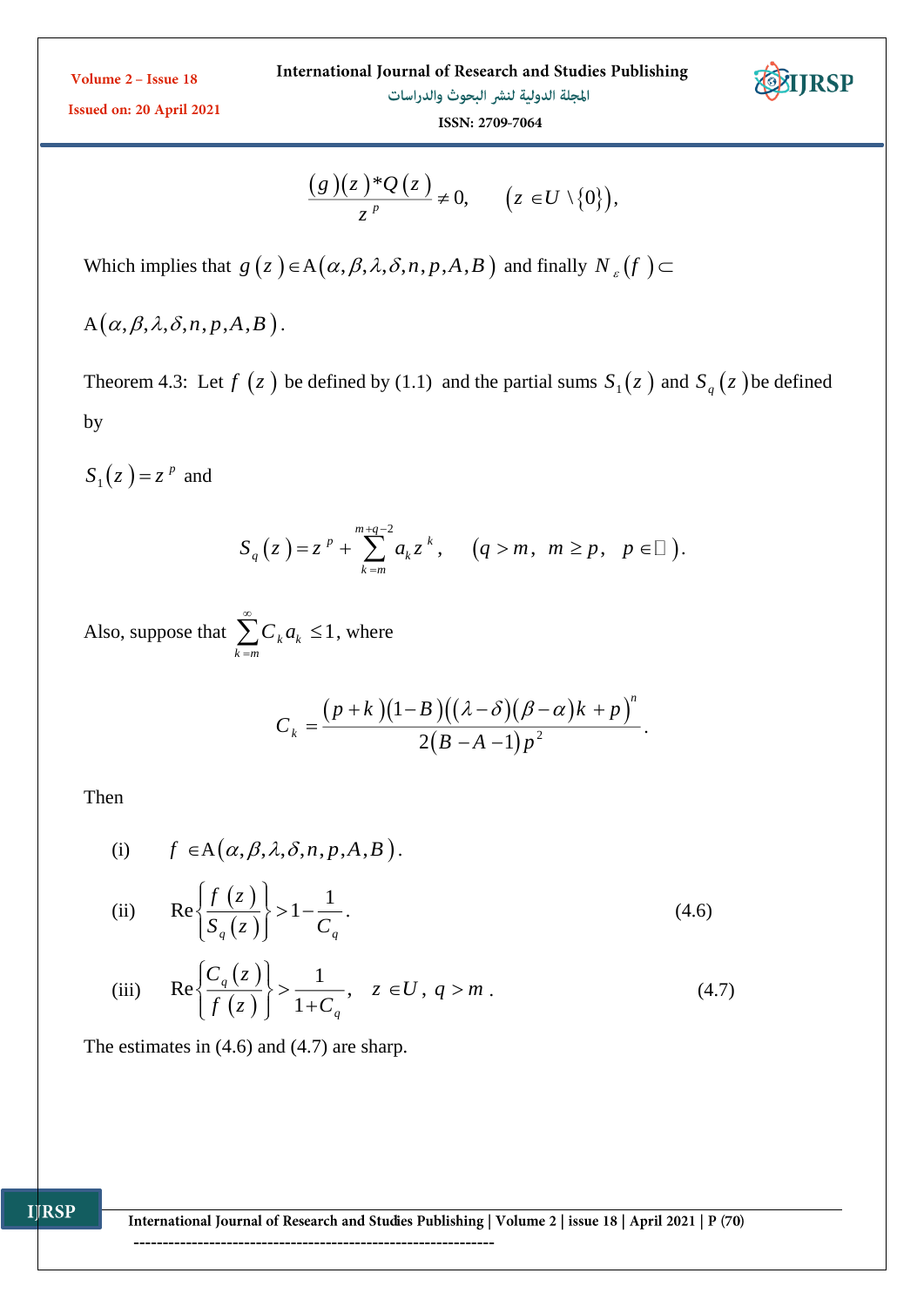

Issued on: 20 April 2021

ISSN: 2709-7064

$$
\frac{(g)(z)^*\mathcal{Q}(z)}{z^p}\neq 0, \qquad (z\in U\setminus\{0\}),
$$

Which implies that  $g(z) \in A(\alpha, \beta, \lambda, \delta, n, p, A, B)$  and finally  $N_{\varepsilon}(f)$ 

 $A\left(\alpha, \beta, \lambda, \delta, n, p, A, B\right)$  .

Theorem 4.3: Let  $f(z)$  be defined by (1.1) and the partial sums  $S_1(z)$  and  $S_q(z)$  be defined by

 $S_1(z) = z^p$  and

$$
S_q(z) = z^p + \sum_{k=m}^{m+q-2} a_k z^k, \quad (q > m, \ m \ge p, \ p \in \square).
$$

Also, suppose that  $\sum_{k} C_{k} a_{k} \leq 1$ *k <sup>m</sup> C <sup>a</sup>* ∞  $\sum_{k=m} C_k a_k \leq 1$ , where

$$
C_k = \frac{(p+k)(1-B)((\lambda-\delta)(\beta-\alpha)k+p)^n}{2(B-A-1)p^2}.
$$

Then

**IJRSP** 

(i) 
$$
f \in A(\alpha, \beta, \lambda, \delta, n, p, A, B)
$$
.

(ii) 
$$
\operatorname{Re}\left\{\frac{f(z)}{S_q(z)}\right\} > 1 - \frac{1}{C_q}.
$$
 (4.6)

(iii) 
$$
\operatorname{Re}\left\{\frac{C_q(z)}{f(z)}\right\} > \frac{1}{1+C_q}, \quad z \in U, q > m.
$$
 (4.7)

The estimates in (4.6) and (4.7) are sharp.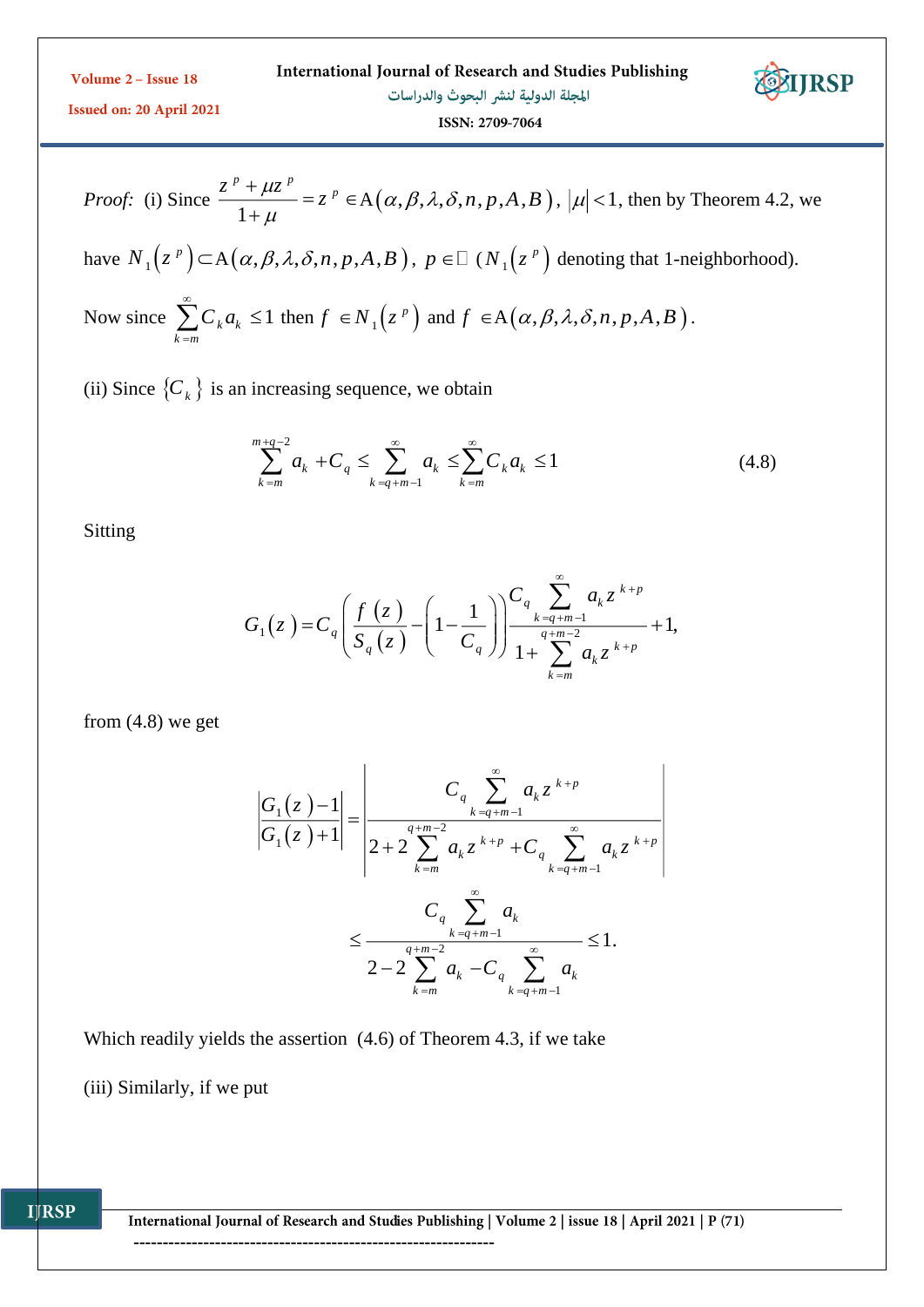| Volume $2 -$ Issue 18           | International Journal of Research and Studies Publishing | EDIRSP |
|---------------------------------|----------------------------------------------------------|--------|
| <b>Issued on: 20 April 2021</b> | المجلة الدولية لنشر البحوث والدراسات                     |        |
|                                 | ISSN: 2709-7064                                          |        |

*Proof:* (i) Since 
$$
\frac{z^p + \mu z^p}{1 + \mu} = z^p \in A(\alpha, \beta, \lambda, \delta, n, p, A, B)
$$
,  $|\mu| < 1$ , then by Theorem 4.2, we have  $N_1(z^p) \subset A(\alpha, \beta, \lambda, \delta, n, p, A, B)$ ,  $p \in \mathbb{Z}(N_1(z^p))$  denoting that 1-neighbourhood).  
Now since  $\sum_{k=m}^{\infty} C_k a_k \le 1$  then  $f \in N_1(z^p)$  and  $f \in A(\alpha, \beta, \lambda, \delta, n, p, A, B)$ .

(ii) Since  $\{C_k\}$  is an increasing sequence, we obtain

$$
\sum_{k=m}^{m+q-2} a_k + C_q \le \sum_{k=q+m-1}^{\infty} a_k \le \sum_{k=m}^{\infty} C_k a_k \le 1
$$
\n(4.8)

Sitting

$$
G_1(z) = C_q \left( \frac{f(z)}{S_q(z)} - \left( 1 - \frac{1}{C_q} \right) \right) \frac{C_q \sum_{k=q+m-1}^{\infty} a_k z^{k+p}}{1 + \sum_{k=m}^{q+m-2} a_k z^{k+p}} + 1,
$$

from (4.8) we get

$$
\frac{G_{1}(z)-1}{G_{1}(z)+1} = \frac{C_{q} \sum_{k=q+m-1}^{\infty} a_{k} z^{k+p}}{2+2 \sum_{k=m}^{q+m-2} a_{k} z^{k+p} + C_{q} \sum_{k=q+m-1}^{\infty} a_{k} z^{k+p}}
$$

$$
\leq \frac{C_{q} \sum_{k=q+m-1}^{\infty} a_{k}}{2-2 \sum_{k=m}^{q+m-2} a_{k} - C_{q} \sum_{k=q+m-1}^{\infty} a_{k}} \leq 1.
$$

Which readily yields the assertion (4.6) of Theorem 4.3, if we take

--------------------------------------------------------------

(iii) Similarly, if we put

**IJRSP**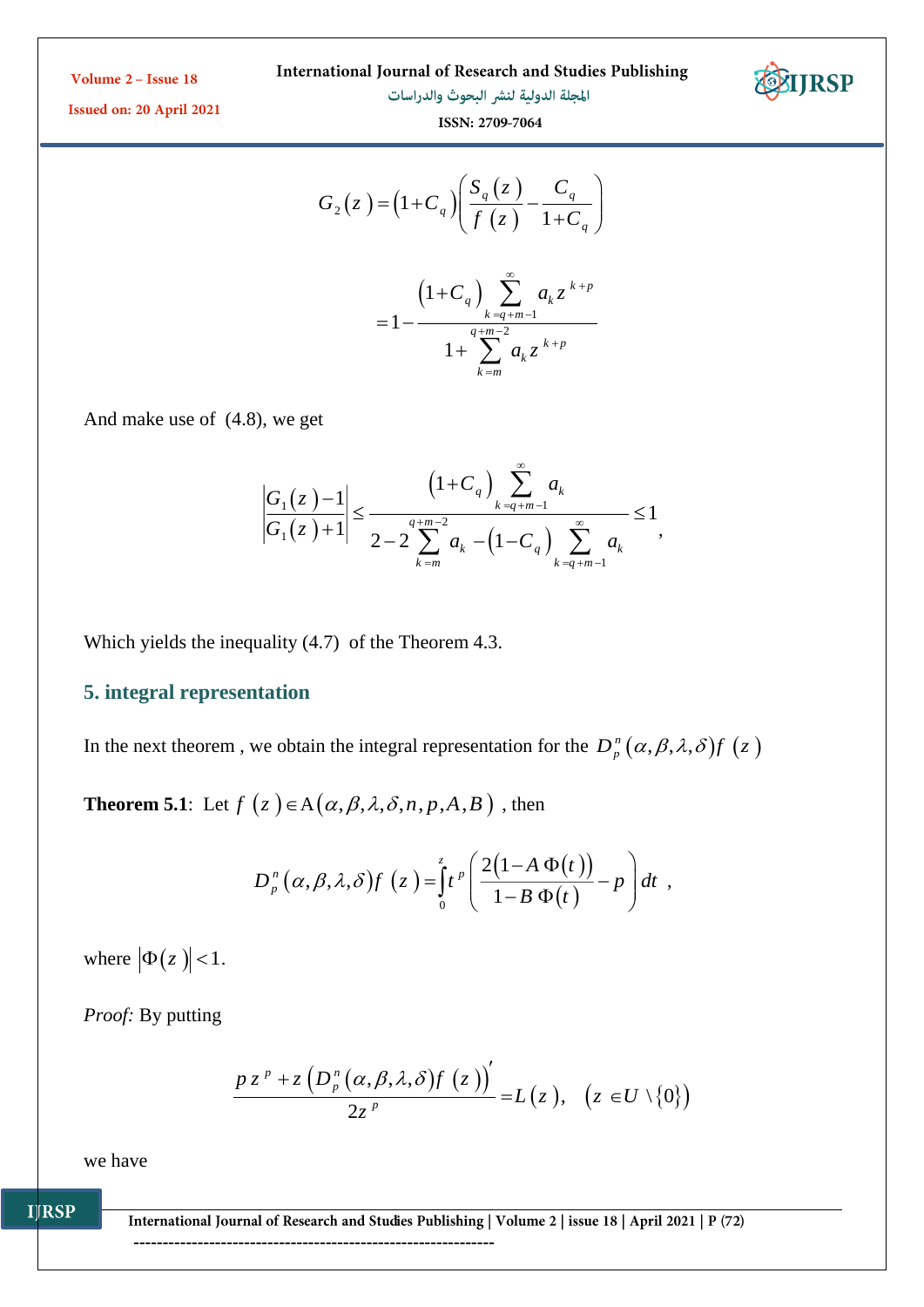International Journal of Research and Studies Publishing



**IJRSP** 

Issued on: 20 April 2021

المجلة الدولية لنشر البحوث والدراسات ISSN: 2709-7064

*k <sup>m</sup>*

Ξ,

$$
G_{2}(z) = (1 + C_{q}) \left( \frac{S_{q}(z)}{f(z)} - \frac{C_{q}}{1 + C_{q}} \right)
$$

$$
= 1 - \frac{\left(1 + C_{q}\right) \sum_{k=q+m-1}^{\infty} a_{k} z^{k+p}}{1 + \sum_{k=q+m-2}^{\infty} a_{k} z^{k+p}}
$$

And make use of (4.8), we get

$$
\left|\frac{G_1(z) - 1}{G_1(z) + 1}\right| \le \frac{\left(1 + C_q\right) \sum_{k=q+m-1}^{\infty} a_k}{2 - 2 \sum_{k=m}^{q+m-2} a_k - \left(1 - C_q\right) \sum_{k=q+m-1}^{\infty} a_k} \le 1,
$$

Which yields the inequality (4.7) of the Theorem 4.3.

# **5. integral representation**

In the next theorem, we obtain the integral representation for the  $D_p^n(\alpha, \beta, \lambda, \delta) f(z)$ 

**Theorem 5.1**: Let  $f(z) \in A(\alpha, \beta, \lambda, \delta, n, p, A, B)$ , then

$$
D_p^n(\alpha,\beta,\lambda,\delta) f(z) = \int_0^z t^p \left( \frac{2(1-A\,\Phi(t))}{1-B\,\Phi(t)} - p \right) dt ,
$$

where  $|\Phi(z)| < 1$ .

*Proof:* By putting

$$
\frac{pz^{p}+z\left(D_{p}^{n}(\alpha,\beta,\lambda,\delta)f(z)\right)}{2z^{p}}=L(z), \quad (z\in U\setminus\{0\})
$$

we have

**IJRSP** 

International Journal of Research and Studies Publishing | Volume 2 | issue 18 | April 2021 | P (72)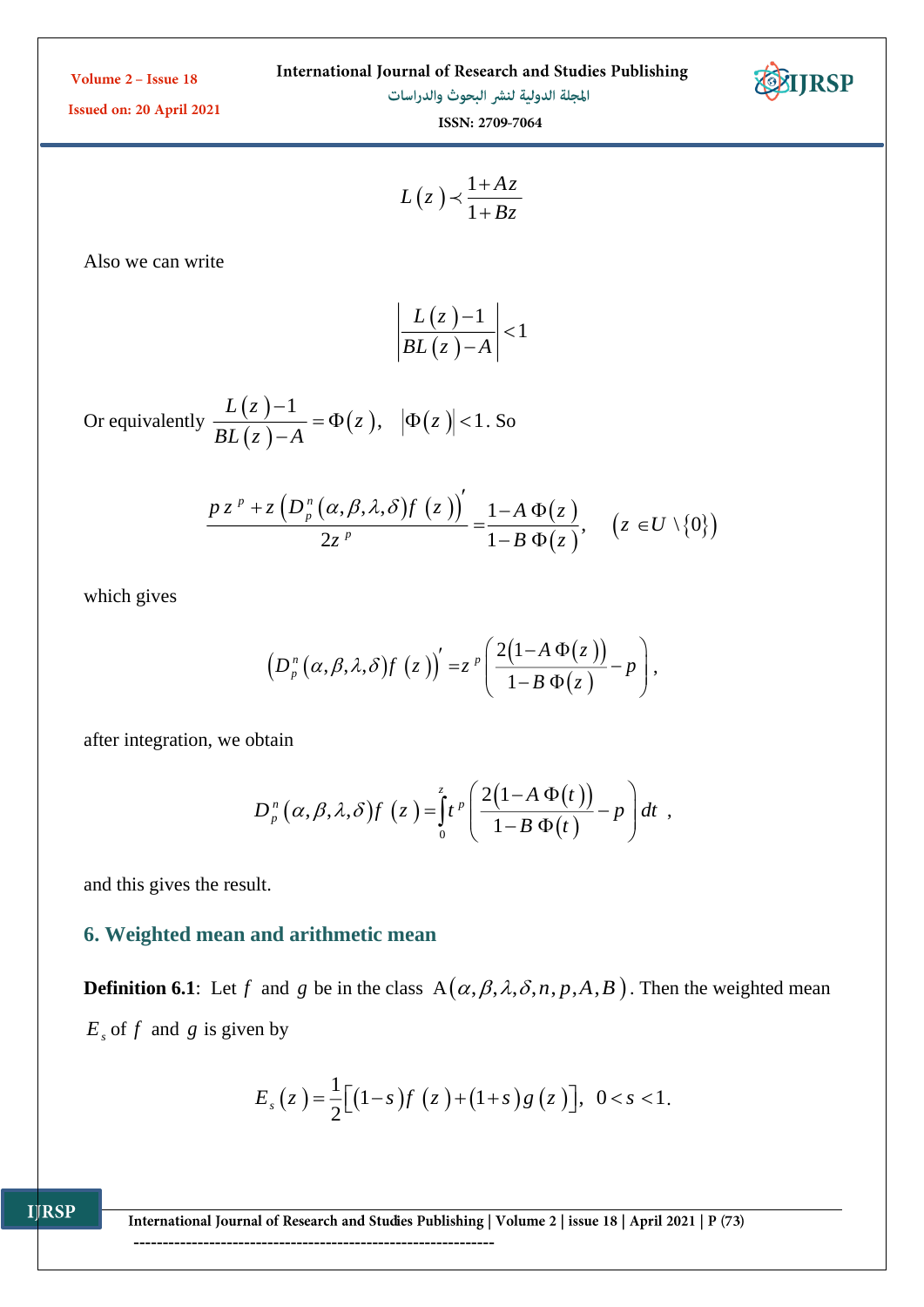| International Journal of Research and Studies Publishing |
|----------------------------------------------------------|
|----------------------------------------------------------|

المجلة الدولية لنشر البحوث والدراسات



Issued on: 20 April 2021

ISSN: 2709-7064

$$
L(z) \prec \frac{1 + Az}{1 + Bz}
$$

Also we can write

$$
\left|\frac{L(z)-1}{BL(z)-A}\right|<1
$$

Or equivalently  $\frac{L(z)}{dz}$  $(z)$  $\frac{1}{4} = \Phi(z), \quad |\Phi(z)|$ ,  $|\Phi(z)| < 1$ *L <sup>z</sup>*  $\frac{d}{BL(z)-A} = \Psi(z), \quad |\Psi(z)|$  $\frac{-1}{-A} = \Phi(z), \ |\Phi(z)| <$ . So

$$
\frac{pz^{p}+z\left(D_{p}^{n}\left(\alpha,\beta,\lambda,\delta\right)f\left(z\right)\right)}{2z^{p}}=\frac{1-A\,\Phi(z)}{1-B\,\Phi(z)},\quad\left(z\in U\setminus\{0\}\right)
$$

which gives

$$
\left(D_p^{n}\left(\alpha,\beta,\lambda,\delta\right)f\left(z\right)\right)'=z^{p}\left(\frac{2\left(1-A\,\Phi(z)\right)}{1-B\,\Phi(z)}-p\right),
$$

after integration, we obtain

$$
D_p^n(\alpha,\beta,\lambda,\delta) f(z) = \int_0^z t^p \left( \frac{2(1-A\,\Phi(t))}{1-B\,\Phi(t)} - p \right) dt ,
$$

and this gives the result.

**IJRSP** 

## **6. Weighted mean and arithmetic mean**

**Definition 6.1**: Let f and g be in the class  $A(\alpha, \beta, \lambda, \delta, n, p, A, B)$ . Then the weighted mean  $E<sub>s</sub>$  of f and g is given by

$$
E_s(z) = \frac{1}{2} \big[ (1-s) f(z) + (1+s) g(z) \big], \ \ 0 < s < 1.
$$

International Journal of Research and Studies Publishing | Volume 2 | issue 18 | April 2021 | P (73)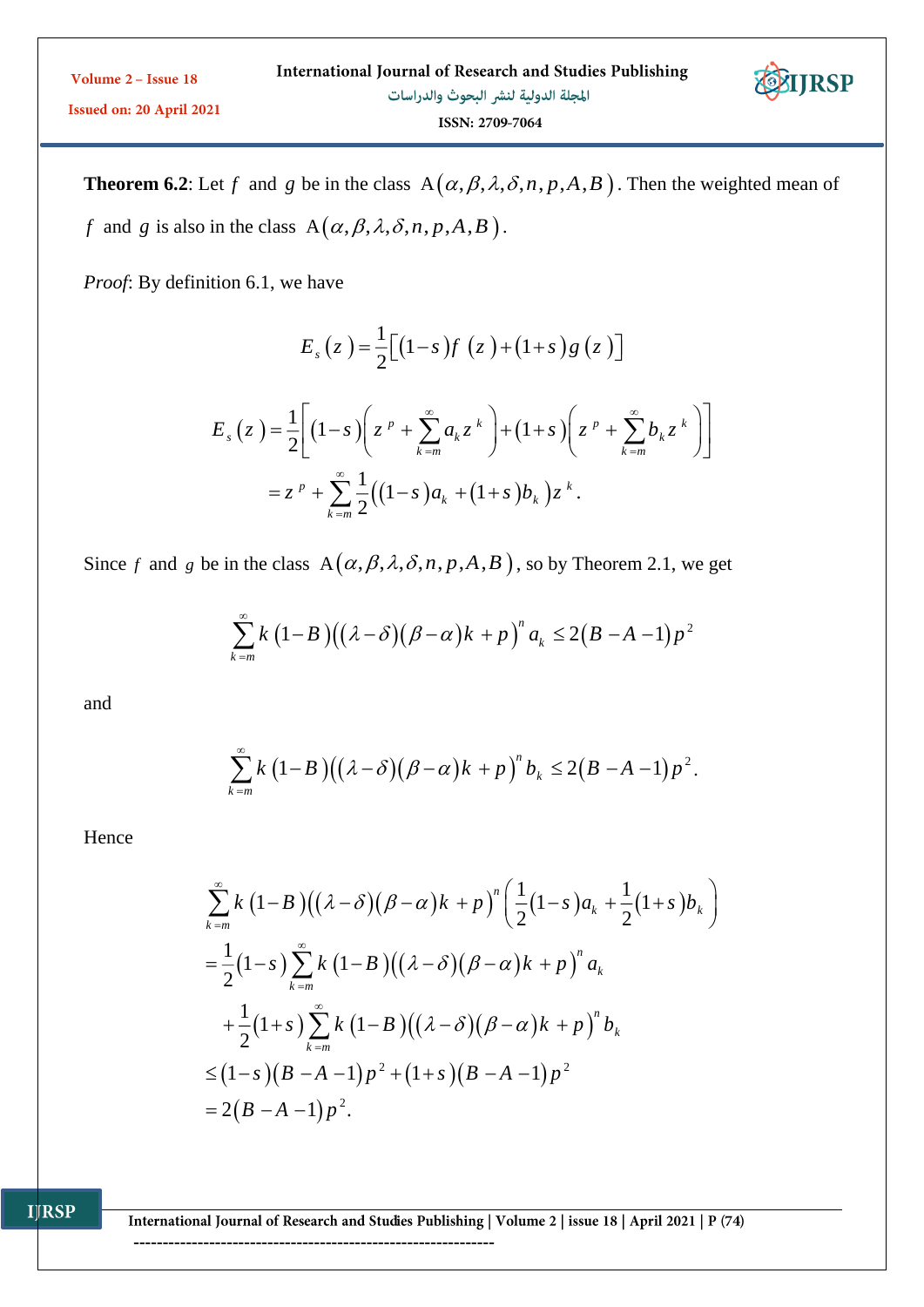**Theorem 6.2**: Let f and g be in the class  $A(\alpha, \beta, \lambda, \delta, n, p, A, B)$ . Then the weighted mean of *f* and *g* is also in the class  $A(\alpha, \beta, \lambda, \delta, n, p, A, B)$ .

**IJRSP** 

*Proof*: By definition 6.1, we have

$$
E_s(z) = \frac{1}{2} \Big[ (1-s)f(z) + (1+s)g(z) \Big]
$$
  
\n
$$
E_s(z) = \frac{1}{2} \Big[ (1-s) \Big( z^p + \sum_{k=m}^{\infty} a_k z^k \Big) + (1+s) \Big( z^p + \sum_{k=m}^{\infty} b_k z^k \Big) \Big]
$$
  
\n
$$
= z^p + \sum_{k=m}^{\infty} \frac{1}{2} \Big( (1-s) a_k + (1+s) b_k \Big) z^k.
$$

Since f and g be in the class  $A(\alpha, \beta, \lambda, \delta, n, p, A, B)$ , so by Theorem 2.1, we get

$$
\sum_{k=m}^{\infty} k (1-B) ((\lambda - \delta) (\beta - \alpha) k + p)^{n} a_{k} \leq 2 (B - A - 1) p^{2}
$$

and

$$
\sum_{k=m}^{\infty} k \left(1-B\right) \left((\lambda-\delta)\left(\beta-\alpha\right)k+p\right)^n b_k \le 2\left(B-A-1\right)p^2.
$$

Hence

$$
\sum_{k=m}^{\infty} k (1-B) ((\lambda - \delta)(\beta - \alpha)k + p)^n \left( \frac{1}{2} (1-s) a_k + \frac{1}{2} (1+s) b_k \right)
$$
  
=  $\frac{1}{2} (1-s) \sum_{k=m}^{\infty} k (1-B) ((\lambda - \delta)(\beta - \alpha)k + p)^n a_k$   
+  $\frac{1}{2} (1+s) \sum_{k=m}^{\infty} k (1-B) ((\lambda - \delta)(\beta - \alpha)k + p)^n b_k$   
 $\leq (1-s) (B - A - 1) p^2 + (1+s) (B - A - 1) p^2$   
=  $2(B - A - 1) p^2$ .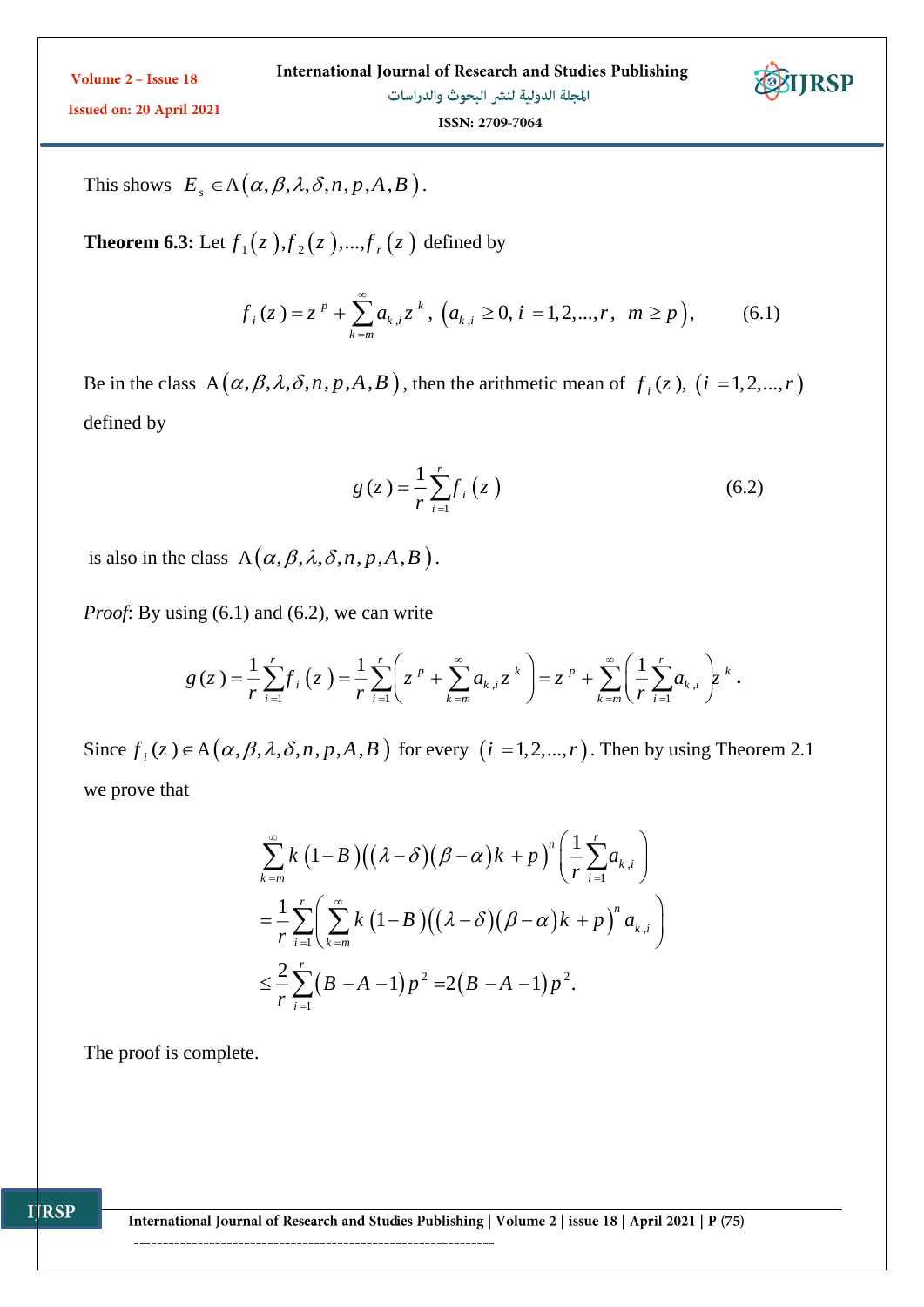

ISSN: 2709-7064

This shows  $E_s \in A(\alpha, \beta, \lambda, \delta, n, p, A, B)$ .

**Theorem 6.3:** Let  $f_1(z)$  ,  $f_2(z)$  , ...,  $f_r(z)$  defined by

$$
f_i(z) = z^p + \sum_{k=m}^{\infty} a_{k,i} z^k, (a_{k,i} \ge 0, i = 1, 2, ..., r, m \ge p),
$$
 (6.1)

Be in the class  $A(\alpha, \beta, \lambda, \delta, n, p, A, B)$ , then the arithmetic mean of  $f_i(z)$ ,  $(i = 1, 2, ..., r)$ defined by

$$
g(z) = \frac{1}{r} \sum_{i=1}^{r} f_i(z)
$$
 (6.2)

is also in the class  $A(\alpha, \beta, \lambda, \delta, n, p, A, B)$ .

*Proof:* By using (6.1) and (6.2), we can write

$$
g(z) = \frac{1}{r} \sum_{i=1}^{r} f_i(z) = \frac{1}{r} \sum_{i=1}^{r} \left( z^{p} + \sum_{k=m}^{\infty} a_{k,i} z^{k} \right) = z^{p} + \sum_{k=m}^{\infty} \left( \frac{1}{r} \sum_{i=1}^{r} a_{k,i} \right) z^{k}.
$$

Since  $f_i(z) \in A(\alpha, \beta, \lambda, \delta, n, p, A, B)$  for every  $(i = 1, 2, ..., r)$ . Then by using Theorem 2.1 we prove that

$$
\sum_{k=m}^{\infty} k \left(1-B\right) \left((\lambda-\delta)\left(\beta-\alpha\right)k+p\right)^n \left(\frac{1}{r}\sum_{i=1}^r a_{k,i}\right)
$$
\n
$$
=\frac{1}{r}\sum_{i=1}^r \left(\sum_{k=m}^{\infty} k \left(1-B\right) \left((\lambda-\delta)\left(\beta-\alpha\right)k+p\right)^n a_{k,i}\right)
$$
\n
$$
\leq \frac{2}{r}\sum_{i=1}^r \left(B-A-1\right)p^2 = 2\left(B-A-1\right)p^2.
$$

The proof is complete.

**IJRSP**